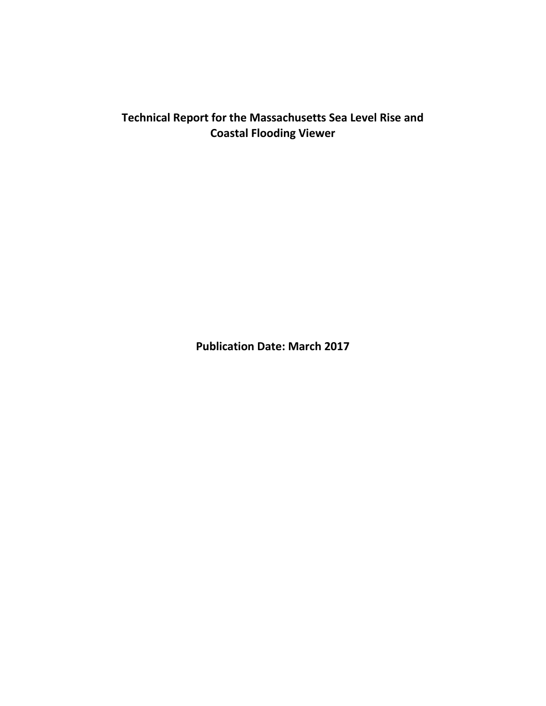# **Technical Report for the Massachusetts Sea Level Rise and Coastal Flooding Viewer**

**Publication Date: March 2017**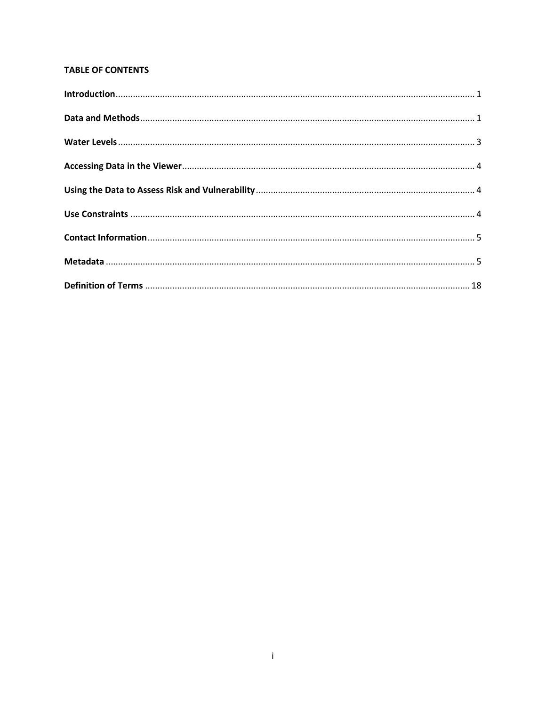# **TABLE OF CONTENTS**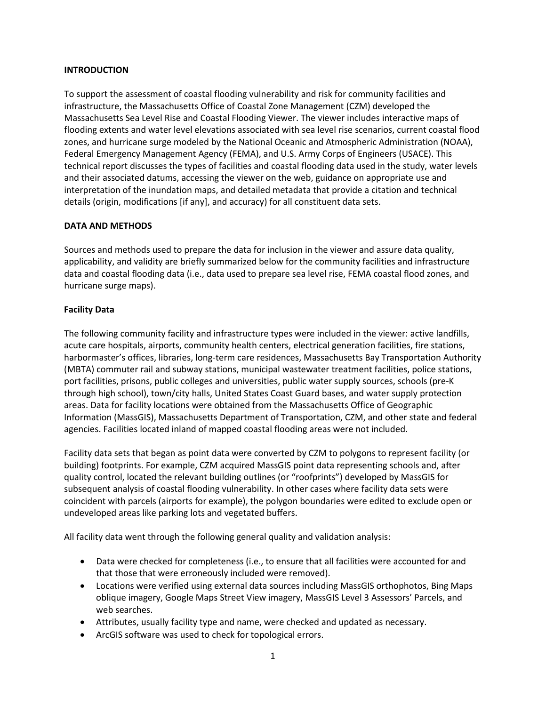## **INTRODUCTION**

To support the assessment of coastal flooding vulnerability and risk for community facilities and infrastructure, the Massachusetts Office of Coastal Zone Management (CZM) developed the Massachusetts Sea Level Rise and Coastal Flooding Viewer. The viewer includes interactive maps of flooding extents and water level elevations associated with sea level rise scenarios, current coastal flood zones, and hurricane surge modeled by the National Oceanic and Atmospheric Administration (NOAA), Federal Emergency Management Agency (FEMA), and U.S. Army Corps of Engineers (USACE). This technical report discusses the types of facilities and coastal flooding data used in the study, water levels and their associated datums, accessing the viewer on the web, guidance on appropriate use and interpretation of the inundation maps, and detailed metadata that provide a citation and technical details (origin, modifications [if any], and accuracy) for all constituent data sets.

## **DATA AND METHODS**

Sources and methods used to prepare the data for inclusion in the viewer and assure data quality, applicability, and validity are briefly summarized below for the community facilities and infrastructure data and coastal flooding data (i.e., data used to prepare sea level rise, FEMA coastal flood zones, and hurricane surge maps).

## **Facility Data**

The following community facility and infrastructure types were included in the viewer: active landfills, acute care hospitals, airports, community health centers, electrical generation facilities, fire stations, harbormaster's offices, libraries, long-term care residences, Massachusetts Bay Transportation Authority (MBTA) commuter rail and subway stations, municipal wastewater treatment facilities, police stations, port facilities, prisons, public colleges and universities, public water supply sources, schools (pre-K through high school), town/city halls, United States Coast Guard bases, and water supply protection areas. Data for facility locations were obtained from the Massachusetts Office of Geographic Information (MassGIS), Massachusetts Department of Transportation, CZM, and other state and federal agencies. Facilities located inland of mapped coastal flooding areas were not included.

Facility data sets that began as point data were converted by CZM to polygons to represent facility (or building) footprints. For example, CZM acquired MassGIS point data representing schools and, after quality control, located the relevant building outlines (or "roofprints") developed by MassGIS for subsequent analysis of coastal flooding vulnerability. In other cases where facility data sets were coincident with parcels (airports for example), the polygon boundaries were edited to exclude open or undeveloped areas like parking lots and vegetated buffers.

All facility data went through the following general quality and validation analysis:

- Data were checked for completeness (i.e., to ensure that all facilities were accounted for and that those that were erroneously included were removed).
- Locations were verified using external data sources including MassGIS orthophotos, Bing Maps oblique imagery, Google Maps Street View imagery, MassGIS Level 3 Assessors' Parcels, and web searches.
- Attributes, usually facility type and name, were checked and updated as necessary.
- ArcGIS software was used to check for topological errors.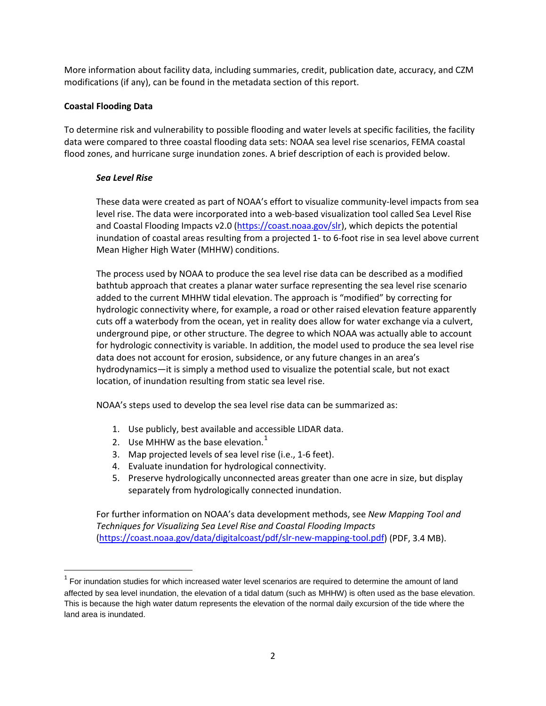More information about facility data, including summaries, credit, publication date, accuracy, and CZM modifications (if any), can be found in the metadata section of this report.

## **Coastal Flooding Data**

To determine risk and vulnerability to possible flooding and water levels at specific facilities, the facility data were compared to three coastal flooding data sets: NOAA sea level rise scenarios, FEMA coastal flood zones, and hurricane surge inundation zones. A brief description of each is provided below.

## *Sea Level Rise*

These data were created as part of NOAA's effort to visualize community-level impacts from sea level rise. The data were incorporated into a web-based visualization tool called Sea Level Rise and Coastal Flooding Impacts v2.0 [\(https://coast.noaa.gov/slr\)](https://coast.noaa.gov/slr/), which depicts the potential inundation of coastal areas resulting from a projected 1- to 6-foot rise in sea level above current Mean Higher High Water (MHHW) conditions.

The process used by NOAA to produce the sea level rise data can be described as a modified bathtub approach that creates a planar water surface representing the sea level rise scenario added to the current MHHW tidal elevation. The approach is "modified" by correcting for hydrologic connectivity where, for example, a road or other raised elevation feature apparently cuts off a waterbody from the ocean, yet in reality does allow for water exchange via a culvert, underground pipe, or other structure. The degree to which NOAA was actually able to account for hydrologic connectivity is variable. In addition, the model used to produce the sea level rise data does not account for erosion, subsidence, or any future changes in an area's hydrodynamics—it is simply a method used to visualize the potential scale, but not exact location, of inundation resulting from static sea level rise.

NOAA's steps used to develop the sea level rise data can be summarized as:

- 1. Use publicly, best available and accessible LIDAR data.
- 2. Use MHHW as the base elevation. $<sup>1</sup>$  $<sup>1</sup>$  $<sup>1</sup>$ </sup>
- 3. Map projected levels of sea level rise (i.e., 1-6 feet).
- 4. Evaluate inundation for hydrological connectivity.
- 5. Preserve hydrologically unconnected areas greater than one acre in size, but display separately from hydrologically connected inundation.

For further information on NOAA's data development methods, see *New Mapping Tool and Techniques for Visualizing Sea Level Rise and Coastal Flooding Impacts* [\(https://coast.noaa.gov/data/digitalcoast/pdf/slr-new-mapping-tool.pdf\)](https://coast.noaa.gov/data/digitalcoast/pdf/slr-new-mapping-tool.pdf) (PDF, 3.4 MB).

<span id="page-3-0"></span> $1$  For inundation studies for which increased water level scenarios are required to determine the amount of land affected by sea level inundation, the elevation of a tidal datum (such as MHHW) is often used as the base elevation. This is because the high water datum represents the elevation of the normal daily excursion of the tide where the land area is inundated.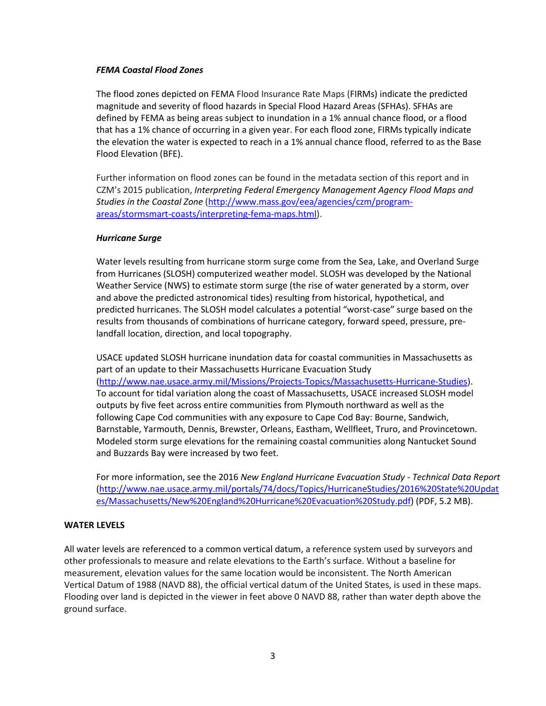#### *FEMA Coastal Flood Zones*

The flood zones depicted on FEMA Flood Insurance Rate Maps (FIRMs) indicate the predicted magnitude and severity of flood hazards in Special Flood Hazard Areas (SFHAs). SFHAs are defined by FEMA as being areas subject to inundation in a 1% annual chance flood, or a flood that has a 1% chance of occurring in a given year. For each flood zone, FIRMs typically indicate the elevation the water is expected to reach in a 1% annual chance flood, referred to as the Base Flood Elevation (BFE).

Further information on flood zones can be found in the metadata section of this report and in CZM's 2015 publication, *Interpreting Federal Emergency Management Agency Flood Maps and Studies in the Coastal Zone* [\(http://www.mass.gov/eea/agencies/czm/program](http://www.mass.gov/eea/agencies/czm/program-areas/stormsmart-coasts/interpreting-fema-maps.html)[areas/stormsmart-coasts/interpreting-fema-maps.html\)](http://www.mass.gov/eea/agencies/czm/program-areas/stormsmart-coasts/interpreting-fema-maps.html).

## *Hurricane Surge*

Water levels resulting from hurricane storm surge come from the Sea, Lake, and Overland Surge from Hurricanes (SLOSH) computerized weather model. SLOSH was developed by the National Weather Service (NWS) to estimate storm surge (the rise of water generated by a storm, over and above the predicted astronomical tides) resulting from historical, hypothetical, and predicted hurricanes. The SLOSH model calculates a potential "worst-case" surge based on the results from thousands of combinations of hurricane category, forward speed, pressure, prelandfall location, direction, and local topography.

USACE updated SLOSH hurricane inundation data for coastal communities in Massachusetts as part of an update to their Massachusetts Hurricane Evacuation Study [\(http://www.nae.usace.army.mil/Missions/Projects-Topics/Massachusetts-Hurricane-Studies\)](http://www.nae.usace.army.mil/Missions/Projects-Topics/Massachusetts-Hurricane-Studies/). To account for tidal variation along the coast of Massachusetts, USACE increased SLOSH model outputs by five feet across entire communities from Plymouth northward as well as the following Cape Cod communities with any exposure to Cape Cod Bay: Bourne, Sandwich, Barnstable, Yarmouth, Dennis, Brewster, Orleans, Eastham, Wellfleet, Truro, and Provincetown. Modeled storm surge elevations for the remaining coastal communities along Nantucket Sound and Buzzards Bay were increased by two feet.

For more information, see the 2016 *New England Hurricane Evacuation Study - Technical Data Report* [\(http://www.nae.usace.army.mil/portals/74/docs/Topics/HurricaneStudies/2016%20State%20Updat](http://www.nae.usace.army.mil/portals/74/docs/Topics/HurricaneStudies/2016%20State%20Updates/Massachusetts/New%20England%20Hurricane%20Evacuation%20Study.pdf) [es/Massachusetts/New%20England%20Hurricane%20Evacuation%20Study.pdf\)](http://www.nae.usace.army.mil/portals/74/docs/Topics/HurricaneStudies/2016%20State%20Updates/Massachusetts/New%20England%20Hurricane%20Evacuation%20Study.pdf) (PDF, 5.2 MB).

#### **WATER LEVELS**

All water levels are referenced to a common vertical datum, a reference system used by surveyors and other professionals to measure and relate elevations to the Earth's surface. Without a baseline for measurement, elevation values for the same location would be inconsistent. The North American Vertical Datum of 1988 (NAVD 88), the official vertical datum of the United States, is used in these maps. Flooding over land is depicted in the viewer in feet above 0 NAVD 88, rather than water depth above the ground surface.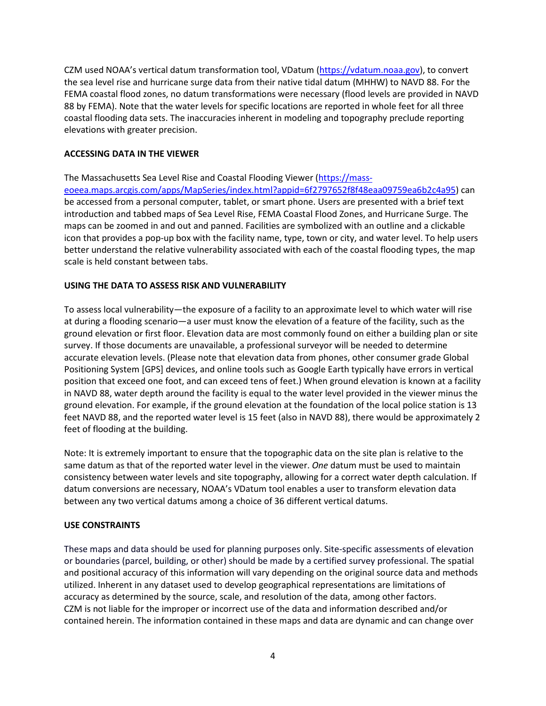CZM used NOAA's vertical datum transformation tool, VDatum [\(https://vdatum.noaa.gov\)](https://vdatum.noaa.gov/), to convert the sea level rise and hurricane surge data from their native tidal datum (MHHW) to NAVD 88. For the FEMA coastal flood zones, no datum transformations were necessary (flood levels are provided in NAVD 88 by FEMA). Note that the water levels for specific locations are reported in whole feet for all three coastal flooding data sets. The inaccuracies inherent in modeling and topography preclude reporting elevations with greater precision.

#### **ACCESSING DATA IN THE VIEWER**

The Massachusetts Sea Level Rise and Coastal Flooding Viewer [\(https://mass](https://mass-eoeea.maps.arcgis.com/apps/MapSeries/index.html?appid=6f2797652f8f48eaa09759ea6b2c4a95)[eoeea.maps.arcgis.com/apps/MapSeries/index.html?appid=6f2797652f8f48eaa09759ea6b2c4a95\)](https://mass-eoeea.maps.arcgis.com/apps/MapSeries/index.html?appid=6f2797652f8f48eaa09759ea6b2c4a95) can be accessed from a personal computer, tablet, or smart phone. Users are presented with a brief text introduction and tabbed maps of Sea Level Rise, FEMA Coastal Flood Zones, and Hurricane Surge. The maps can be zoomed in and out and panned. Facilities are symbolized with an outline and a clickable icon that provides a pop-up box with the facility name, type, town or city, and water level. To help users better understand the relative vulnerability associated with each of the coastal flooding types, the map scale is held constant between tabs.

#### **USING THE DATA TO ASSESS RISK AND VULNERABILITY**

To assess local vulnerability—the exposure of a facility to an approximate level to which water will rise at during a flooding scenario—a user must know the elevation of a feature of the facility, such as the ground elevation or first floor. Elevation data are most commonly found on either a building plan or site survey. If those documents are unavailable, a professional surveyor will be needed to determine accurate elevation levels. (Please note that elevation data from phones, other consumer grade Global Positioning System [GPS] devices, and online tools such as Google Earth typically have errors in vertical position that exceed one foot, and can exceed tens of feet.) When ground elevation is known at a facility in NAVD 88, water depth around the facility is equal to the water level provided in the viewer minus the ground elevation. For example, if the ground elevation at the foundation of the local police station is 13 feet NAVD 88, and the reported water level is 15 feet (also in NAVD 88), there would be approximately 2 feet of flooding at the building.

Note: It is extremely important to ensure that the topographic data on the site plan is relative to the same datum as that of the reported water level in the viewer. *One* datum must be used to maintain consistency between water levels and site topography, allowing for a correct water depth calculation. If datum conversions are necessary, NOAA's VDatum tool enables a user to transform elevation data between any two vertical datums among a choice of 36 different vertical datums.

#### **USE CONSTRAINTS**

These maps and data should be used for planning purposes only. Site-specific assessments of elevation or boundaries (parcel, building, or other) should be made by a certified survey professional. The spatial and positional accuracy of this information will vary depending on the original source data and methods utilized. Inherent in any dataset used to develop geographical representations are limitations of accuracy as determined by the source, scale, and resolution of the data, among other factors. CZM is not liable for the improper or incorrect use of the data and information described and/or contained herein. The information contained in these maps and data are dynamic and can change over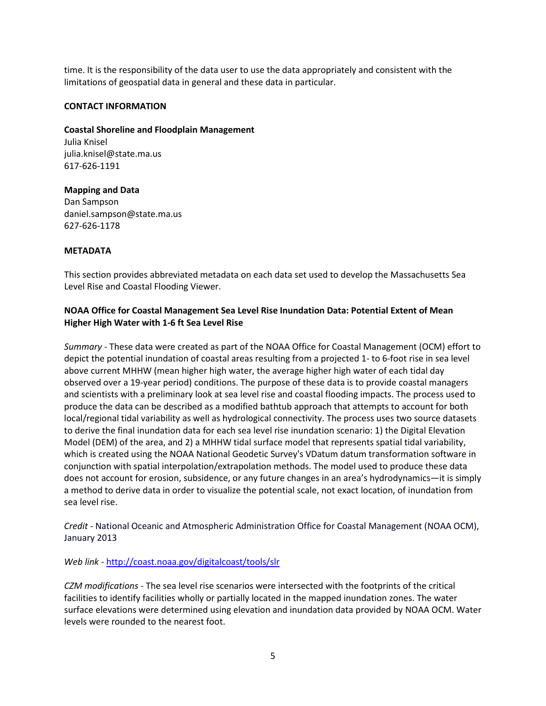time. It is the responsibility of the data user to use the data appropriately and consistent with the limitations of geospatial data in general and these data in particular.

## **CONTACT INFORMATION**

#### **Coastal Shoreline and Floodplain Management**

Julia Knisel julia.knisel@state.ma.us 617-626-1191

**Mapping and Data** Dan Sampson daniel.sampson@state.ma.us 627-626-1178

#### **METADATA**

This section provides abbreviated metadata on each data set used to develop the Massachusetts Sea Level Rise and Coastal Flooding Viewer.

## **NOAA Office for Coastal Management Sea Level Rise Inundation Data: Potential Extent of Mean Higher High Water with 1-6 ft Sea Level Rise**

*Summary* - These data were created as part of the NOAA Office for Coastal Management (OCM) effort to depict the potential inundation of coastal areas resulting from a projected 1- to 6-foot rise in sea level above current MHHW (mean higher high water, the average higher high water of each tidal day observed over a 19-year period) conditions. The purpose of these data is to provide coastal managers and scientists with a preliminary look at sea level rise and coastal flooding impacts. The process used to produce the data can be described as a modified bathtub approach that attempts to account for both local/regional tidal variability as well as hydrological connectivity. The process uses two source datasets to derive the final inundation data for each sea level rise inundation scenario: 1) the Digital Elevation Model (DEM) of the area, and 2) a MHHW tidal surface model that represents spatial tidal variability, which is created using the NOAA National Geodetic Survey's VDatum datum transformation software in conjunction with spatial interpolation/extrapolation methods. The model used to produce these data does not account for erosion, subsidence, or any future changes in an area's hydrodynamics—it is simply a method to derive data in order to visualize the potential scale, not exact location, of inundation from sea level rise.

*Credit* - National Oceanic and Atmospheric Administration Office for Coastal Management (NOAA OCM), January 2013

*Web link* - <http://coast.noaa.gov/digitalcoast/tools/slr>

*CZM modifications* - The sea level rise scenarios were intersected with the footprints of the critical facilities to identify facilities wholly or partially located in the mapped inundation zones. The water surface elevations were determined using elevation and inundation data provided by NOAA OCM. Water levels were rounded to the nearest foot.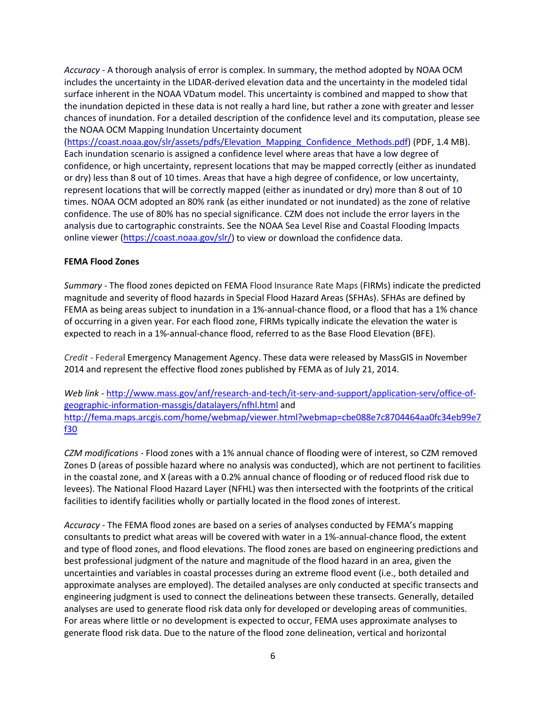*Accuracy* - A thorough analysis of error is complex. In summary, the method adopted by NOAA OCM includes the uncertainty in the LIDAR-derived elevation data and the uncertainty in the modeled tidal surface inherent in the NOAA VDatum model. This uncertainty is combined and mapped to show that the inundation depicted in these data is not really a hard line, but rather a zone with greater and lesser chances of inundation. For a detailed description of the confidence level and its computation, please see the NOAA OCM Mapping Inundation Uncertainty document

[\(https://coast.noaa.gov/slr/assets/pdfs/Elevation\\_Mapping\\_Confidence\\_Methods.pdf\)](https://coast.noaa.gov/slr/assets/pdfs/Elevation_Mapping_Confidence_Methods.pdf) (PDF, 1.4 MB). Each inundation scenario is assigned a confidence level where areas that have a low degree of confidence, or high uncertainty, represent locations that may be mapped correctly (either as inundated or dry) less than 8 out of 10 times. Areas that have a high degree of confidence, or low uncertainty, represent locations that will be correctly mapped (either as inundated or dry) more than 8 out of 10 times. NOAA OCM adopted an 80% rank (as either inundated or not inundated) as the zone of relative confidence. The use of 80% has no special significance. CZM does not include the error layers in the analysis due to cartographic constraints. See the NOAA Sea Level Rise and Coastal Flooding Impacts online viewer [\(https://coast.noaa.gov/slr/\)](https://coast.noaa.gov/slr/) to view or download the confidence data.

## **FEMA Flood Zones**

*Summary* - The flood zones depicted on FEMA Flood Insurance Rate Maps (FIRMs) indicate the predicted magnitude and severity of flood hazards in Special Flood Hazard Areas (SFHAs). SFHAs are defined by FEMA as being areas subject to inundation in a 1%-annual-chance flood, or a flood that has a 1% chance of occurring in a given year. For each flood zone, FIRMs typically indicate the elevation the water is expected to reach in a 1%-annual-chance flood, referred to as the Base Flood Elevation (BFE).

*Credit* - Federal Emergency Management Agency. These data were released by MassGIS in November 2014 and represent the effective flood zones published by FEMA as of July 21, 2014.

*Web link* - [http://www.mass.gov/anf/research-and-tech/it-serv-and-support/application-serv/office-of](http://www.mass.gov/anf/research-and-tech/it-serv-and-support/application-serv/office-of-geographic-information-massgis/datalayers/nfhl.html)[geographic-information-massgis/datalayers/nfhl.html](http://www.mass.gov/anf/research-and-tech/it-serv-and-support/application-serv/office-of-geographic-information-massgis/datalayers/nfhl.html) and [http://fema.maps.arcgis.com/home/webmap/viewer.html?webmap=cbe088e7c8704464aa0fc34eb99e7](http://fema.maps.arcgis.com/home/webmap/viewer.html?webmap=cbe088e7c8704464aa0fc34eb99e7f30) [f30](http://fema.maps.arcgis.com/home/webmap/viewer.html?webmap=cbe088e7c8704464aa0fc34eb99e7f30)

*CZM modifications* - Flood zones with a 1% annual chance of flooding were of interest, so CZM removed Zones D (areas of possible hazard where no analysis was conducted), which are not pertinent to facilities in the coastal zone, and X (areas with a 0.2% annual chance of flooding or of reduced flood risk due to levees). The National Flood Hazard Layer (NFHL) was then intersected with the footprints of the critical facilities to identify facilities wholly or partially located in the flood zones of interest.

*Accuracy* - The FEMA flood zones are based on a series of analyses conducted by FEMA's mapping consultants to predict what areas will be covered with water in a 1%-annual-chance flood, the extent and type of flood zones, and flood elevations. The flood zones are based on engineering predictions and best professional judgment of the nature and magnitude of the flood hazard in an area, given the uncertainties and variables in coastal processes during an extreme flood event (i.e., both detailed and approximate analyses are employed). The detailed analyses are only conducted at specific transects and engineering judgment is used to connect the delineations between these transects. Generally, detailed analyses are used to generate flood risk data only for developed or developing areas of communities. For areas where little or no development is expected to occur, FEMA uses approximate analyses to generate flood risk data. Due to the nature of the flood zone delineation, vertical and horizontal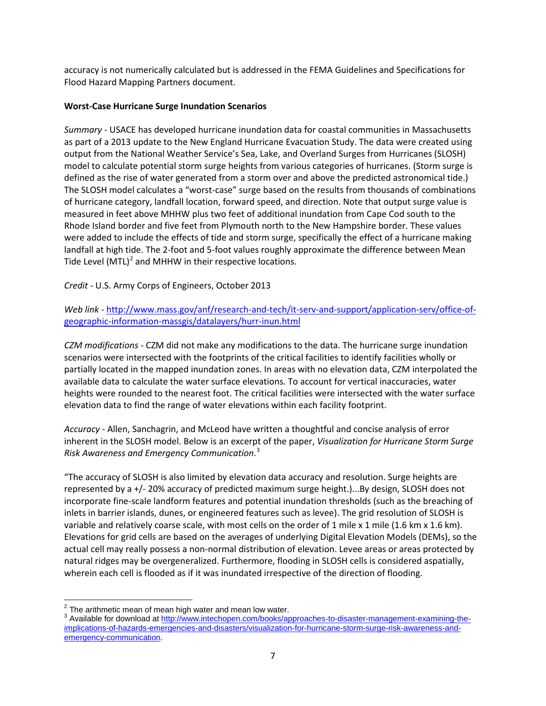accuracy is not numerically calculated but is addressed in the FEMA Guidelines and Specifications for Flood Hazard Mapping Partners document.

## **Worst-Case Hurricane Surge Inundation Scenarios**

*Summary -* USACE has developed hurricane inundation data for coastal communities in Massachusetts as part of a 2013 update to the New England Hurricane Evacuation Study. The data were created using output from the National Weather Service's Sea, Lake, and Overland Surges from Hurricanes (SLOSH) model to calculate potential storm surge heights from various categories of hurricanes. (Storm surge is defined as the rise of water generated from a storm over and above the predicted astronomical tide.) The SLOSH model calculates a "worst-case" surge based on the results from thousands of combinations of hurricane category, landfall location, forward speed, and direction. Note that output surge value is measured in feet above MHHW plus two feet of additional inundation from Cape Cod south to the Rhode Island border and five feet from Plymouth north to the New Hampshire border. These values were added to include the effects of tide and storm surge, specifically the effect of a hurricane making landfall at high tide. The 2-foot and 5-foot values roughly approximate the difference between Mean Tide Level  $(MTL)^2$  $(MTL)^2$  and MHHW in their respective locations.

*Credit* - U.S. Army Corps of Engineers, October 2013

*Web link -* [http://www.mass.gov/anf/research-and-tech/it-serv-and-support/application-serv/office-of](http://www.mass.gov/anf/research-and-tech/it-serv-and-support/application-serv/office-of-geographic-information-massgis/datalayers/hurr-inun.html)[geographic-information-massgis/datalayers/hurr-inun.html](http://www.mass.gov/anf/research-and-tech/it-serv-and-support/application-serv/office-of-geographic-information-massgis/datalayers/hurr-inun.html)

*CZM modifications* - CZM did not make any modifications to the data. The hurricane surge inundation scenarios were intersected with the footprints of the critical facilities to identify facilities wholly or partially located in the mapped inundation zones. In areas with no elevation data, CZM interpolated the available data to calculate the water surface elevations. To account for vertical inaccuracies, water heights were rounded to the nearest foot. The critical facilities were intersected with the water surface elevation data to find the range of water elevations within each facility footprint.

*Accuracy* - Allen, Sanchagrin, and McLeod have written a thoughtful and concise analysis of error inherent in the SLOSH model. Below is an excerpt of the paper, *Visualization for Hurricane Storm Surge Risk Awareness and Emergency Communication*. [3](#page-8-1)

"The accuracy of SLOSH is also limited by elevation data accuracy and resolution. Surge heights are represented by a +/- 20% accuracy of predicted maximum surge height.)...By design, SLOSH does not incorporate fine-scale landform features and potential inundation thresholds (such as the breaching of inlets in barrier islands, dunes, or engineered features such as levee). The grid resolution of SLOSH is variable and relatively coarse scale, with most cells on the order of 1 mile x 1 mile (1.6 km x 1.6 km). Elevations for grid cells are based on the averages of underlying Digital Elevation Models (DEMs), so the actual cell may really possess a non-normal distribution of elevation. Levee areas or areas protected by natural ridges may be overgeneralized. Furthermore, flooding in SLOSH cells is considered aspatially, wherein each cell is flooded as if it was inundated irrespective of the direction of flooding.

<span id="page-8-1"></span><span id="page-8-0"></span><sup>&</sup>lt;sup>2</sup> The arithmetic mean of mean high water and mean low water.<br><sup>3</sup> Available for download at [http://www.intechopen.com/books/approaches-to-disaster-management-examining-the](http://www.intechopen.com/books/approaches-to-disaster-management-examining-the-implications-of-hazards-emergencies-and-disasters/visualization-for-hurricane-storm-surge-risk-awareness-and-emergency-communication)[implications-of-hazards-emergencies-and-disasters/visualization-for-hurricane-storm-surge-risk-awareness-and](http://www.intechopen.com/books/approaches-to-disaster-management-examining-the-implications-of-hazards-emergencies-and-disasters/visualization-for-hurricane-storm-surge-risk-awareness-and-emergency-communication)[emergency-communication.](http://www.intechopen.com/books/approaches-to-disaster-management-examining-the-implications-of-hazards-emergencies-and-disasters/visualization-for-hurricane-storm-surge-risk-awareness-and-emergency-communication)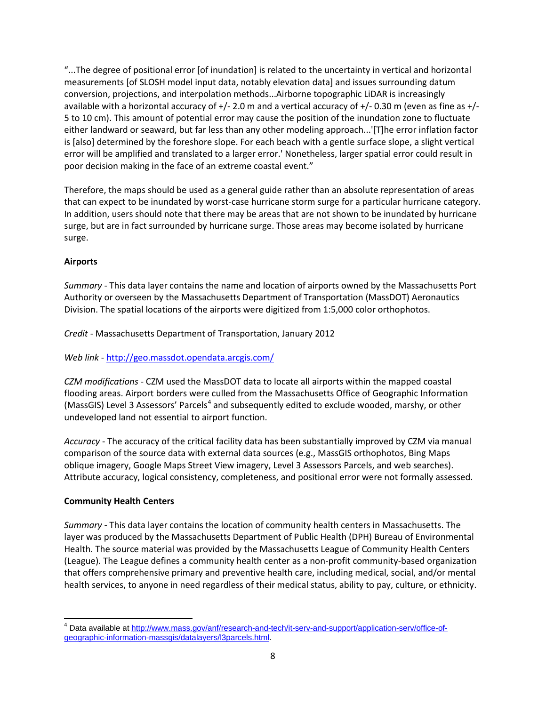"...The degree of positional error [of inundation] is related to the uncertainty in vertical and horizontal measurements [of SLOSH model input data, notably elevation data] and issues surrounding datum conversion, projections, and interpolation methods...Airborne topographic LiDAR is increasingly available with a horizontal accuracy of +/- 2.0 m and a vertical accuracy of +/- 0.30 m (even as fine as +/- 5 to 10 cm). This amount of potential error may cause the position of the inundation zone to fluctuate either landward or seaward, but far less than any other modeling approach...'[T]he error inflation factor is [also] determined by the foreshore slope. For each beach with a gentle surface slope, a slight vertical error will be amplified and translated to a larger error.' Nonetheless, larger spatial error could result in poor decision making in the face of an extreme coastal event."

Therefore, the maps should be used as a general guide rather than an absolute representation of areas that can expect to be inundated by worst-case hurricane storm surge for a particular hurricane category. In addition, users should note that there may be areas that are not shown to be inundated by hurricane surge, but are in fact surrounded by hurricane surge. Those areas may become isolated by hurricane surge.

# **Airports**

*Summary* - This data layer contains the name and location of airports owned by the Massachusetts Port Authority or overseen by the Massachusetts Department of Transportation (MassDOT) Aeronautics Division. The spatial locations of the airports were digitized from 1:5,000 color orthophotos.

*Credit -* Massachusetts Department of Transportation, January 2012

*Web link* - <http://geo.massdot.opendata.arcgis.com/>

*CZM modifications* - CZM used the MassDOT data to locate all airports within the mapped coastal flooding areas. Airport borders were culled from the Massachusetts Office of Geographic Information (MassGIS) Level 3 Assessors' Parcels<sup>[4](#page-9-0)</sup> and subsequently edited to exclude wooded, marshy, or other undeveloped land not essential to airport function.

*Accuracy* - The accuracy of the critical facility data has been substantially improved by CZM via manual comparison of the source data with external data sources (e.g., MassGIS orthophotos, Bing Maps oblique imagery, Google Maps Street View imagery, Level 3 Assessors Parcels, and web searches). Attribute accuracy, logical consistency, completeness, and positional error were not formally assessed.

# **Community Health Centers**

*Summary* - This data layer contains the location of community health centers in Massachusetts. The layer was produced by the Massachusetts Department of Public Health (DPH) Bureau of Environmental Health. The source material was provided by the Massachusetts League of Community Health Centers (League). The League defines a community health center as a non-profit community-based organization that offers comprehensive primary and preventive health care, including medical, social, and/or mental health services, to anyone in need regardless of their medical status, ability to pay, culture, or ethnicity.

<span id="page-9-0"></span><sup>&</sup>lt;sup>4</sup> Data available a[t http://www.mass.gov/anf/research-and-tech/it-serv-and-support/application-serv/office-of](http://www.mass.gov/anf/research-and-tech/it-serv-and-support/application-serv/office-of-geographic-information-massgis/datalayers/l3parcels.html)[geographic-information-massgis/datalayers/l3parcels.html.](http://www.mass.gov/anf/research-and-tech/it-serv-and-support/application-serv/office-of-geographic-information-massgis/datalayers/l3parcels.html)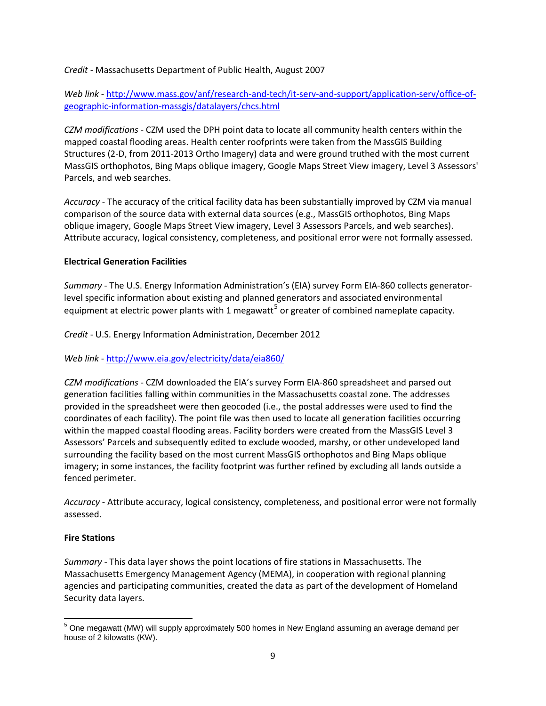*Credit* - Massachusetts Department of Public Health, August 2007

*Web link* - [http://www.mass.gov/anf/research-and-tech/it-serv-and-support/application-serv/office-of](http://www.mass.gov/anf/research-and-tech/it-serv-and-support/application-serv/office-of-geographic-information-massgis/datalayers/chcs.html)[geographic-information-massgis/datalayers/chcs.html](http://www.mass.gov/anf/research-and-tech/it-serv-and-support/application-serv/office-of-geographic-information-massgis/datalayers/chcs.html)

*CZM modifications* - CZM used the DPH point data to locate all community health centers within the mapped coastal flooding areas. Health center roofprints were taken from the MassGIS Building Structures (2-D, from 2011-2013 Ortho Imagery) data and were ground truthed with the most current MassGIS orthophotos, Bing Maps oblique imagery, Google Maps Street View imagery, Level 3 Assessors' Parcels, and web searches.

*Accuracy* - The accuracy of the critical facility data has been substantially improved by CZM via manual comparison of the source data with external data sources (e.g., MassGIS orthophotos, Bing Maps oblique imagery, Google Maps Street View imagery, Level 3 Assessors Parcels, and web searches). Attribute accuracy, logical consistency, completeness, and positional error were not formally assessed.

## **Electrical Generation Facilities**

*Summary* - The U.S. Energy Information Administration's (EIA) survey Form EIA-860 collects generatorlevel specific information about existing and planned generators and associated environmental equipment at electric power plants with 1 megawatt<sup>[5](#page-10-0)</sup> or greater of combined nameplate capacity.

*Credit* - U.S. Energy Information Administration, December 2012

*Web link* - <http://www.eia.gov/electricity/data/eia860/>

*CZM modifications* - CZM downloaded the EIA's survey Form EIA-860 spreadsheet and parsed out generation facilities falling within communities in the Massachusetts coastal zone. The addresses provided in the spreadsheet were then geocoded (i.e., the postal addresses were used to find the coordinates of each facility). The point file was then used to locate all generation facilities occurring within the mapped coastal flooding areas. Facility borders were created from the MassGIS Level 3 Assessors' Parcels and subsequently edited to exclude wooded, marshy, or other undeveloped land surrounding the facility based on the most current MassGIS orthophotos and Bing Maps oblique imagery; in some instances, the facility footprint was further refined by excluding all lands outside a fenced perimeter.

*Accuracy* - Attribute accuracy, logical consistency, completeness, and positional error were not formally assessed.

## **Fire Stations**

*Summary* - This data layer shows the point locations of fire stations in Massachusetts. The Massachusetts Emergency Management Agency (MEMA), in cooperation with regional planning agencies and participating communities, created the data as part of the development of Homeland Security data layers.

<span id="page-10-0"></span><sup>5</sup> One megawatt (MW) will supply approximately 500 homes in New England assuming an average demand per house of 2 kilowatts (KW).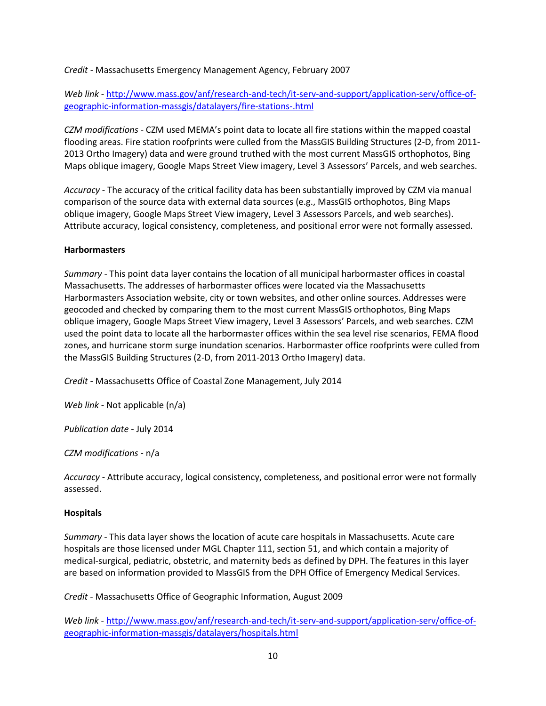*Credit* - Massachusetts Emergency Management Agency, February 2007

*Web link* - [http://www.mass.gov/anf/research-and-tech/it-serv-and-support/application-serv/office-of](http://www.mass.gov/anf/research-and-tech/it-serv-and-support/application-serv/office-of-geographic-information-massgis/datalayers/fire-stations-.html)[geographic-information-massgis/datalayers/fire-stations-.html](http://www.mass.gov/anf/research-and-tech/it-serv-and-support/application-serv/office-of-geographic-information-massgis/datalayers/fire-stations-.html)

*CZM modifications* - CZM used MEMA's point data to locate all fire stations within the mapped coastal flooding areas. Fire station roofprints were culled from the MassGIS Building Structures (2-D, from 2011- 2013 Ortho Imagery) data and were ground truthed with the most current MassGIS orthophotos, Bing Maps oblique imagery, Google Maps Street View imagery, Level 3 Assessors' Parcels, and web searches.

*Accuracy* - The accuracy of the critical facility data has been substantially improved by CZM via manual comparison of the source data with external data sources (e.g., MassGIS orthophotos, Bing Maps oblique imagery, Google Maps Street View imagery, Level 3 Assessors Parcels, and web searches). Attribute accuracy, logical consistency, completeness, and positional error were not formally assessed.

## **Harbormasters**

*Summary* - This point data layer contains the location of all municipal harbormaster offices in coastal Massachusetts. The addresses of harbormaster offices were located via the Massachusetts Harbormasters Association website, city or town websites, and other online sources. Addresses were geocoded and checked by comparing them to the most current MassGIS orthophotos, Bing Maps oblique imagery, Google Maps Street View imagery, Level 3 Assessors' Parcels, and web searches. CZM used the point data to locate all the harbormaster offices within the sea level rise scenarios, FEMA flood zones, and hurricane storm surge inundation scenarios. Harbormaster office roofprints were culled from the MassGIS Building Structures (2-D, from 2011-2013 Ortho Imagery) data.

*Credit* - Massachusetts Office of Coastal Zone Management, July 2014

*Web link* - Not applicable (n/a)

*Publication date* - July 2014

## *CZM modifications* - n/a

*Accuracy* - Attribute accuracy, logical consistency, completeness, and positional error were not formally assessed.

## **Hospitals**

*Summary* - This data layer shows the location of acute care hospitals in Massachusetts. Acute care hospitals are those licensed under MGL Chapter 111, section 51, and which contain a majority of medical-surgical, pediatric, obstetric, and maternity beds as defined by DPH. The features in this layer are based on information provided to MassGIS from the DPH Office of Emergency Medical Services.

*Credit* - Massachusetts Office of Geographic Information, August 2009

*Web link* - [http://www.mass.gov/anf/research-and-tech/it-serv-and-support/application-serv/office-of](http://www.mass.gov/anf/research-and-tech/it-serv-and-support/application-serv/office-of-geographic-information-massgis/datalayers/hospitals.html)[geographic-information-massgis/datalayers/hospitals.html](http://www.mass.gov/anf/research-and-tech/it-serv-and-support/application-serv/office-of-geographic-information-massgis/datalayers/hospitals.html)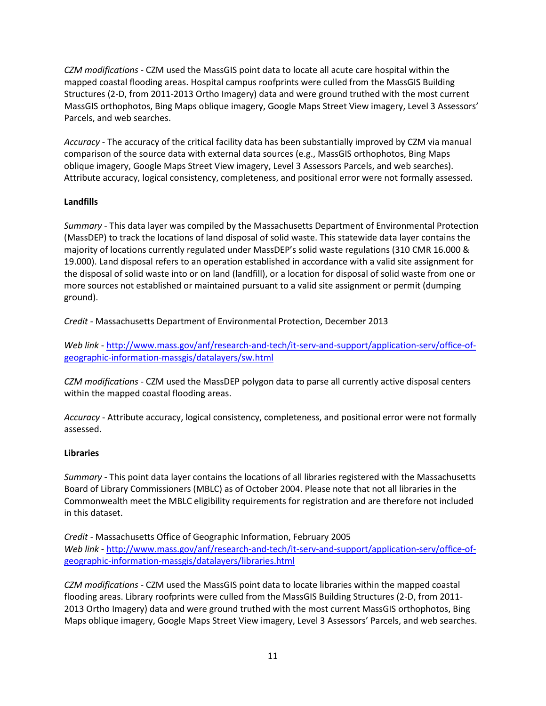*CZM modifications* - CZM used the MassGIS point data to locate all acute care hospital within the mapped coastal flooding areas. Hospital campus roofprints were culled from the MassGIS Building Structures (2-D, from 2011-2013 Ortho Imagery) data and were ground truthed with the most current MassGIS orthophotos, Bing Maps oblique imagery, Google Maps Street View imagery, Level 3 Assessors' Parcels, and web searches.

*Accuracy* - The accuracy of the critical facility data has been substantially improved by CZM via manual comparison of the source data with external data sources (e.g., MassGIS orthophotos, Bing Maps oblique imagery, Google Maps Street View imagery, Level 3 Assessors Parcels, and web searches). Attribute accuracy, logical consistency, completeness, and positional error were not formally assessed.

## **Landfills**

*Summary* - This data layer was compiled by the Massachusetts Department of Environmental Protection (MassDEP) to track the locations of land disposal of solid waste. This statewide data layer contains the majority of locations currently regulated under MassDEP's solid waste regulations (310 CMR 16.000 & 19.000). Land disposal refers to an operation established in accordance with a valid site assignment for the disposal of solid waste into or on land (landfill), or a location for disposal of solid waste from one or more sources not established or maintained pursuant to a valid site assignment or permit (dumping ground).

*Credit* - Massachusetts Department of Environmental Protection, December 2013

*Web link* - [http://www.mass.gov/anf/research-and-tech/it-serv-and-support/application-serv/office-of](http://www.mass.gov/anf/research-and-tech/it-serv-and-support/application-serv/office-of-geographic-information-massgis/datalayers/sw.html)[geographic-information-massgis/datalayers/sw.html](http://www.mass.gov/anf/research-and-tech/it-serv-and-support/application-serv/office-of-geographic-information-massgis/datalayers/sw.html)

*CZM modifications* - CZM used the MassDEP polygon data to parse all currently active disposal centers within the mapped coastal flooding areas.

*Accuracy* - Attribute accuracy, logical consistency, completeness, and positional error were not formally assessed.

## **Libraries**

*Summary* - This point data layer contains the locations of all libraries registered with the Massachusetts Board of Library Commissioners (MBLC) as of October 2004. Please note that not all libraries in the Commonwealth meet the MBLC eligibility requirements for registration and are therefore not included in this dataset.

*Credit* - Massachusetts Office of Geographic Information, February 2005 *Web link* - [http://www.mass.gov/anf/research-and-tech/it-serv-and-support/application-serv/office-of](http://www.mass.gov/anf/research-and-tech/it-serv-and-support/application-serv/office-of-geographic-information-massgis/datalayers/libraries.html)[geographic-information-massgis/datalayers/libraries.html](http://www.mass.gov/anf/research-and-tech/it-serv-and-support/application-serv/office-of-geographic-information-massgis/datalayers/libraries.html)

*CZM modifications* - CZM used the MassGIS point data to locate libraries within the mapped coastal flooding areas. Library roofprints were culled from the MassGIS Building Structures (2-D, from 2011- 2013 Ortho Imagery) data and were ground truthed with the most current MassGIS orthophotos, Bing Maps oblique imagery, Google Maps Street View imagery, Level 3 Assessors' Parcels, and web searches.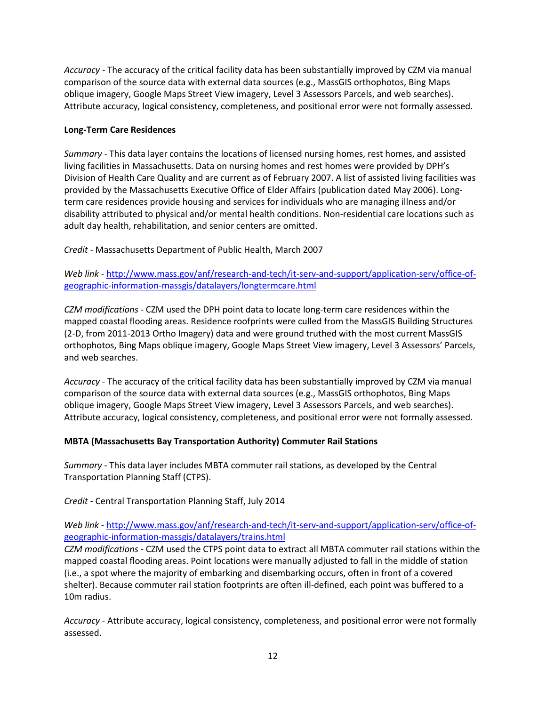*Accuracy* - The accuracy of the critical facility data has been substantially improved by CZM via manual comparison of the source data with external data sources (e.g., MassGIS orthophotos, Bing Maps oblique imagery, Google Maps Street View imagery, Level 3 Assessors Parcels, and web searches). Attribute accuracy, logical consistency, completeness, and positional error were not formally assessed.

# **Long-Term Care Residences**

*Summary* - This data layer contains the locations of licensed nursing homes, rest homes, and assisted living facilities in Massachusetts. Data on nursing homes and rest homes were provided by DPH's Division of Health Care Quality and are current as of February 2007. A list of assisted living facilities was provided by the Massachusetts Executive Office of Elder Affairs (publication dated May 2006). Longterm care residences provide housing and services for individuals who are managing illness and/or disability attributed to physical and/or mental health conditions. Non-residential care locations such as adult day health, rehabilitation, and senior centers are omitted.

*Credit* - Massachusetts Department of Public Health, March 2007

*Web link* - [http://www.mass.gov/anf/research-and-tech/it-serv-and-support/application-serv/office-of](http://www.mass.gov/anf/research-and-tech/it-serv-and-support/application-serv/office-of-geographic-information-massgis/datalayers/longtermcare.html)[geographic-information-massgis/datalayers/longtermcare.html](http://www.mass.gov/anf/research-and-tech/it-serv-and-support/application-serv/office-of-geographic-information-massgis/datalayers/longtermcare.html)

*CZM modifications* - CZM used the DPH point data to locate long-term care residences within the mapped coastal flooding areas. Residence roofprints were culled from the MassGIS Building Structures (2-D, from 2011-2013 Ortho Imagery) data and were ground truthed with the most current MassGIS orthophotos, Bing Maps oblique imagery, Google Maps Street View imagery, Level 3 Assessors' Parcels, and web searches.

*Accuracy* - The accuracy of the critical facility data has been substantially improved by CZM via manual comparison of the source data with external data sources (e.g., MassGIS orthophotos, Bing Maps oblique imagery, Google Maps Street View imagery, Level 3 Assessors Parcels, and web searches). Attribute accuracy, logical consistency, completeness, and positional error were not formally assessed.

# **MBTA (Massachusetts Bay Transportation Authority) Commuter Rail Stations**

*Summary* - This data layer includes MBTA commuter rail stations, as developed by the Central Transportation Planning Staff (CTPS).

*Credit* - Central Transportation Planning Staff, July 2014

*Web link* - [http://www.mass.gov/anf/research-and-tech/it-serv-and-support/application-serv/office-of](http://www.mass.gov/anf/research-and-tech/it-serv-and-support/application-serv/office-of-geographic-information-massgis/datalayers/trains.html)[geographic-information-massgis/datalayers/trains.html](http://www.mass.gov/anf/research-and-tech/it-serv-and-support/application-serv/office-of-geographic-information-massgis/datalayers/trains.html)

*CZM modifications* - CZM used the CTPS point data to extract all MBTA commuter rail stations within the mapped coastal flooding areas. Point locations were manually adjusted to fall in the middle of station (i.e., a spot where the majority of embarking and disembarking occurs, often in front of a covered shelter). Because commuter rail station footprints are often ill-defined, each point was buffered to a 10m radius.

*Accuracy* - Attribute accuracy, logical consistency, completeness, and positional error were not formally assessed.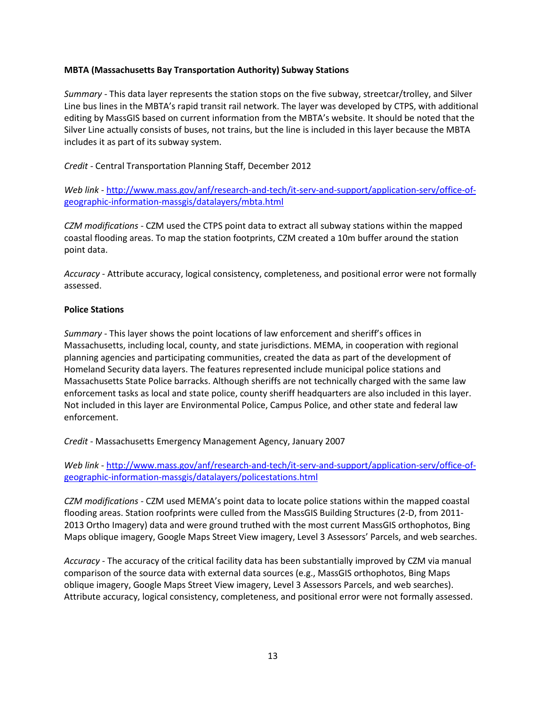## **MBTA (Massachusetts Bay Transportation Authority) Subway Stations**

*Summary* - This data layer represents the station stops on the five subway, streetcar/trolley, and Silver Line bus lines in the MBTA's rapid transit rail network. The layer was developed by CTPS, with additional editing by MassGIS based on current information from the MBTA's website. It should be noted that the Silver Line actually consists of buses, not trains, but the line is included in this layer because the MBTA includes it as part of its subway system.

*Credit* - Central Transportation Planning Staff, December 2012

*Web link* - [http://www.mass.gov/anf/research-and-tech/it-serv-and-support/application-serv/office-of](http://www.mass.gov/anf/research-and-tech/it-serv-and-support/application-serv/office-of-geographic-information-massgis/datalayers/mbta.html)[geographic-information-massgis/datalayers/mbta.html](http://www.mass.gov/anf/research-and-tech/it-serv-and-support/application-serv/office-of-geographic-information-massgis/datalayers/mbta.html)

*CZM modifications* - CZM used the CTPS point data to extract all subway stations within the mapped coastal flooding areas. To map the station footprints, CZM created a 10m buffer around the station point data.

*Accuracy* - Attribute accuracy, logical consistency, completeness, and positional error were not formally assessed.

#### **Police Stations**

*Summary* - This layer shows the point locations of law enforcement and sheriff's offices in Massachusetts, including local, county, and state jurisdictions. MEMA, in cooperation with regional planning agencies and participating communities, created the data as part of the development of Homeland Security data layers. The features represented include municipal police stations and Massachusetts State Police barracks. Although sheriffs are not technically charged with the same law enforcement tasks as local and state police, county sheriff headquarters are also included in this layer. Not included in this layer are Environmental Police, Campus Police, and other state and federal law enforcement.

*Credit* - Massachusetts Emergency Management Agency, January 2007

*Web link* - [http://www.mass.gov/anf/research-and-tech/it-serv-and-support/application-serv/office-of](http://www.mass.gov/anf/research-and-tech/it-serv-and-support/application-serv/office-of-geographic-information-massgis/datalayers/policestations.html)[geographic-information-massgis/datalayers/policestations.html](http://www.mass.gov/anf/research-and-tech/it-serv-and-support/application-serv/office-of-geographic-information-massgis/datalayers/policestations.html)

*CZM modifications* - CZM used MEMA's point data to locate police stations within the mapped coastal flooding areas. Station roofprints were culled from the MassGIS Building Structures (2-D, from 2011- 2013 Ortho Imagery) data and were ground truthed with the most current MassGIS orthophotos, Bing Maps oblique imagery, Google Maps Street View imagery, Level 3 Assessors' Parcels, and web searches.

*Accuracy* - The accuracy of the critical facility data has been substantially improved by CZM via manual comparison of the source data with external data sources (e.g., MassGIS orthophotos, Bing Maps oblique imagery, Google Maps Street View imagery, Level 3 Assessors Parcels, and web searches). Attribute accuracy, logical consistency, completeness, and positional error were not formally assessed.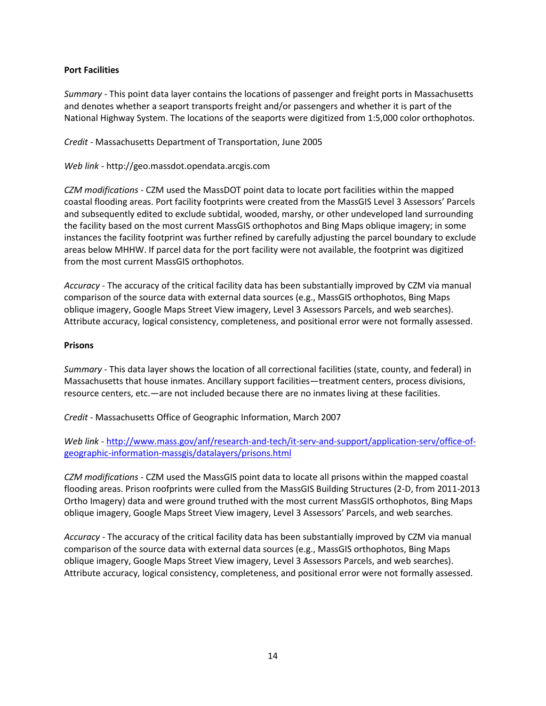## **Port Facilities**

*Summary* - This point data layer contains the locations of passenger and freight ports in Massachusetts and denotes whether a seaport transports freight and/or passengers and whether it is part of the National Highway System. The locations of the seaports were digitized from 1:5,000 color orthophotos.

*Credit* - Massachusetts Department of Transportation, June 2005

*Web link* - http://geo.massdot.opendata.arcgis.com

*CZM modifications* - CZM used the MassDOT point data to locate port facilities within the mapped coastal flooding areas. Port facility footprints were created from the MassGIS Level 3 Assessors' Parcels and subsequently edited to exclude subtidal, wooded, marshy, or other undeveloped land surrounding the facility based on the most current MassGIS orthophotos and Bing Maps oblique imagery; in some instances the facility footprint was further refined by carefully adjusting the parcel boundary to exclude areas below MHHW. If parcel data for the port facility were not available, the footprint was digitized from the most current MassGIS orthophotos.

*Accuracy* - The accuracy of the critical facility data has been substantially improved by CZM via manual comparison of the source data with external data sources (e.g., MassGIS orthophotos, Bing Maps oblique imagery, Google Maps Street View imagery, Level 3 Assessors Parcels, and web searches). Attribute accuracy, logical consistency, completeness, and positional error were not formally assessed.

## **Prisons**

*Summary* - This data layer shows the location of all correctional facilities (state, county, and federal) in Massachusetts that house inmates. Ancillary support facilities—treatment centers, process divisions, resource centers, etc.—are not included because there are no inmates living at these facilities.

*Credit* - Massachusetts Office of Geographic Information, March 2007

*Web link* - [http://www.mass.gov/anf/research-and-tech/it-serv-and-support/application-serv/office-of](http://www.mass.gov/anf/research-and-tech/it-serv-and-support/application-serv/office-of-geographic-information-massgis/datalayers/prisons.html)[geographic-information-massgis/datalayers/prisons.html](http://www.mass.gov/anf/research-and-tech/it-serv-and-support/application-serv/office-of-geographic-information-massgis/datalayers/prisons.html)

*CZM modifications* - CZM used the MassGIS point data to locate all prisons within the mapped coastal flooding areas. Prison roofprints were culled from the MassGIS Building Structures (2-D, from 2011-2013 Ortho Imagery) data and were ground truthed with the most current MassGIS orthophotos, Bing Maps oblique imagery, Google Maps Street View imagery, Level 3 Assessors' Parcels, and web searches.

*Accuracy* - The accuracy of the critical facility data has been substantially improved by CZM via manual comparison of the source data with external data sources (e.g., MassGIS orthophotos, Bing Maps oblique imagery, Google Maps Street View imagery, Level 3 Assessors Parcels, and web searches). Attribute accuracy, logical consistency, completeness, and positional error were not formally assessed.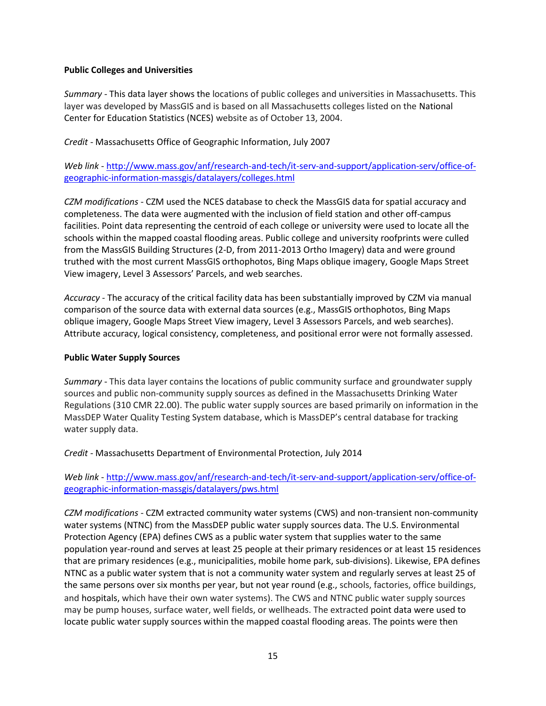## **Public Colleges and Universities**

*Summary* - This data layer shows the locations of public colleges and universities in Massachusetts. This layer was developed by MassGIS and is based on all Massachusetts colleges listed on the National Center for Education Statistics (NCES) website as of October 13, 2004.

*Credit* - Massachusetts Office of Geographic Information, July 2007

*Web link* - [http://www.mass.gov/anf/research-and-tech/it-serv-and-support/application-serv/office-of](http://www.mass.gov/anf/research-and-tech/it-serv-and-support/application-serv/office-of-geographic-information-massgis/datalayers/colleges.html)[geographic-information-massgis/datalayers/colleges.html](http://www.mass.gov/anf/research-and-tech/it-serv-and-support/application-serv/office-of-geographic-information-massgis/datalayers/colleges.html)

*CZM modifications* - CZM used the NCES database to check the MassGIS data for spatial accuracy and completeness. The data were augmented with the inclusion of field station and other off-campus facilities. Point data representing the centroid of each college or university were used to locate all the schools within the mapped coastal flooding areas. Public college and university roofprints were culled from the MassGIS Building Structures (2-D, from 2011-2013 Ortho Imagery) data and were ground truthed with the most current MassGIS orthophotos, Bing Maps oblique imagery, Google Maps Street View imagery, Level 3 Assessors' Parcels, and web searches.

*Accuracy* - The accuracy of the critical facility data has been substantially improved by CZM via manual comparison of the source data with external data sources (e.g., MassGIS orthophotos, Bing Maps oblique imagery, Google Maps Street View imagery, Level 3 Assessors Parcels, and web searches). Attribute accuracy, logical consistency, completeness, and positional error were not formally assessed.

#### **Public Water Supply Sources**

*Summary* - This data layer contains the locations of public community surface and groundwater supply sources and public non-community supply sources as defined in the Massachusetts Drinking Water Regulations (310 CMR 22.00). The public water supply sources are based primarily on information in the MassDEP Water Quality Testing System database, which is MassDEP's central database for tracking water supply data.

*Credit* - Massachusetts Department of Environmental Protection, July 2014

*Web link* - [http://www.mass.gov/anf/research-and-tech/it-serv-and-support/application-serv/office-of](http://www.mass.gov/anf/research-and-tech/it-serv-and-support/application-serv/office-of-geographic-information-massgis/datalayers/pws.html)[geographic-information-massgis/datalayers/pws.html](http://www.mass.gov/anf/research-and-tech/it-serv-and-support/application-serv/office-of-geographic-information-massgis/datalayers/pws.html)

*CZM modifications* - CZM extracted community water systems (CWS) and non-transient non-community water systems (NTNC) from the MassDEP public water supply sources data. The U.S. Environmental Protection Agency (EPA) defines CWS as a public water system that supplies water to the same population year-round and serves at least 25 people at their primary residences or at least 15 residences that are primary residences (e.g., municipalities, mobile home park, sub-divisions). Likewise, EPA defines NTNC as a public water system that is not a community water system and regularly serves at least 25 of the same persons over six months per year, but not year round (e.g., schools, factories, office buildings, and hospitals, which have their own water systems). The CWS and NTNC public water supply sources may be pump houses, surface water, well fields, or wellheads. The extracted point data were used to locate public water supply sources within the mapped coastal flooding areas. The points were then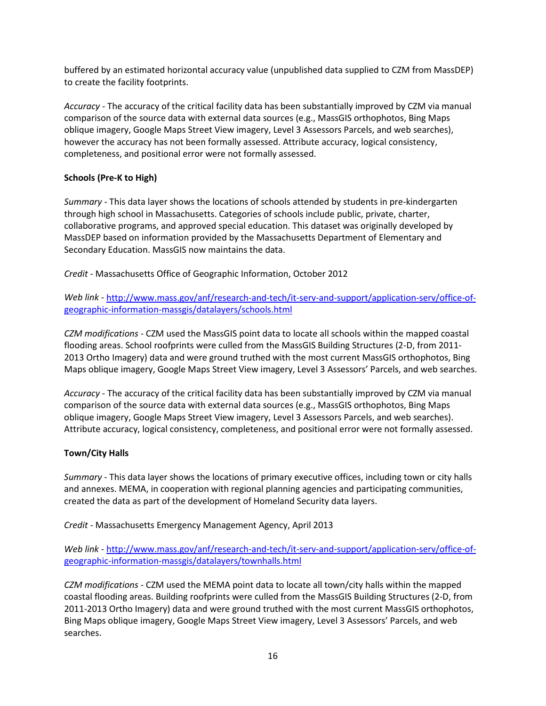buffered by an estimated horizontal accuracy value (unpublished data supplied to CZM from MassDEP) to create the facility footprints.

*Accuracy* - The accuracy of the critical facility data has been substantially improved by CZM via manual comparison of the source data with external data sources (e.g., MassGIS orthophotos, Bing Maps oblique imagery, Google Maps Street View imagery, Level 3 Assessors Parcels, and web searches), however the accuracy has not been formally assessed. Attribute accuracy, logical consistency, completeness, and positional error were not formally assessed.

## **Schools (Pre-K to High)**

*Summary* - This data layer shows the locations of schools attended by students in pre-kindergarten through high school in Massachusetts. Categories of schools include public, private, charter, collaborative programs, and approved special education. This dataset was originally developed by MassDEP based on information provided by the Massachusetts Department of Elementary and Secondary Education. MassGIS now maintains the data.

*Credit* - Massachusetts Office of Geographic Information, October 2012

*Web link* - [http://www.mass.gov/anf/research-and-tech/it-serv-and-support/application-serv/office-of](http://www.mass.gov/anf/research-and-tech/it-serv-and-support/application-serv/office-of-geographic-information-massgis/datalayers/schools.html)[geographic-information-massgis/datalayers/schools.html](http://www.mass.gov/anf/research-and-tech/it-serv-and-support/application-serv/office-of-geographic-information-massgis/datalayers/schools.html)

*CZM modifications* - CZM used the MassGIS point data to locate all schools within the mapped coastal flooding areas. School roofprints were culled from the MassGIS Building Structures (2-D, from 2011- 2013 Ortho Imagery) data and were ground truthed with the most current MassGIS orthophotos, Bing Maps oblique imagery, Google Maps Street View imagery, Level 3 Assessors' Parcels, and web searches.

*Accuracy* - The accuracy of the critical facility data has been substantially improved by CZM via manual comparison of the source data with external data sources (e.g., MassGIS orthophotos, Bing Maps oblique imagery, Google Maps Street View imagery, Level 3 Assessors Parcels, and web searches). Attribute accuracy, logical consistency, completeness, and positional error were not formally assessed.

# **Town/City Halls**

*Summary* - This data layer shows the locations of primary executive offices, including town or city halls and annexes. MEMA, in cooperation with regional planning agencies and participating communities, created the data as part of the development of Homeland Security data layers.

*Credit* - Massachusetts Emergency Management Agency, April 2013

*Web link* - [http://www.mass.gov/anf/research-and-tech/it-serv-and-support/application-serv/office-of](http://www.mass.gov/anf/research-and-tech/it-serv-and-support/application-serv/office-of-geographic-information-massgis/datalayers/townhalls.html)[geographic-information-massgis/datalayers/townhalls.html](http://www.mass.gov/anf/research-and-tech/it-serv-and-support/application-serv/office-of-geographic-information-massgis/datalayers/townhalls.html)

*CZM modifications* - CZM used the MEMA point data to locate all town/city halls within the mapped coastal flooding areas. Building roofprints were culled from the MassGIS Building Structures (2-D, from 2011-2013 Ortho Imagery) data and were ground truthed with the most current MassGIS orthophotos, Bing Maps oblique imagery, Google Maps Street View imagery, Level 3 Assessors' Parcels, and web searches.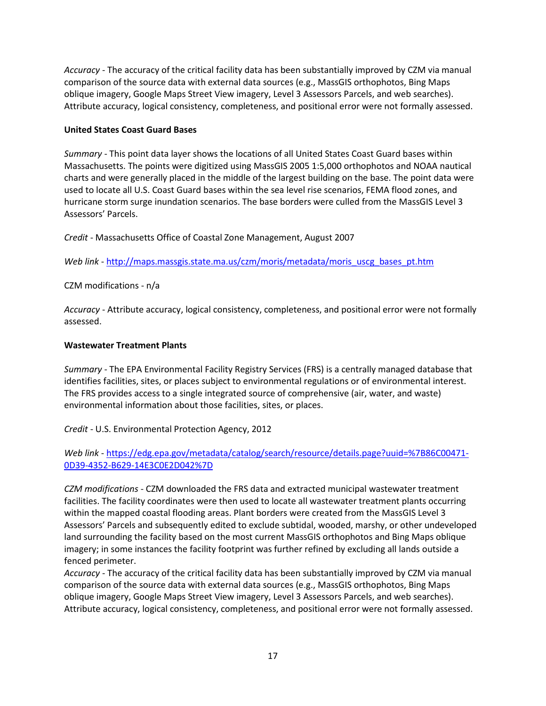*Accuracy* - The accuracy of the critical facility data has been substantially improved by CZM via manual comparison of the source data with external data sources (e.g., MassGIS orthophotos, Bing Maps oblique imagery, Google Maps Street View imagery, Level 3 Assessors Parcels, and web searches). Attribute accuracy, logical consistency, completeness, and positional error were not formally assessed.

## **United States Coast Guard Bases**

*Summary* - This point data layer shows the locations of all United States Coast Guard bases within Massachusetts. The points were digitized using MassGIS 2005 1:5,000 orthophotos and NOAA nautical charts and were generally placed in the middle of the largest building on the base. The point data were used to locate all U.S. Coast Guard bases within the sea level rise scenarios, FEMA flood zones, and hurricane storm surge inundation scenarios. The base borders were culled from the MassGIS Level 3 Assessors' Parcels.

*Credit* - Massachusetts Office of Coastal Zone Management, August 2007

*Web link* - [http://maps.massgis.state.ma.us/czm/moris/metadata/moris\\_uscg\\_bases\\_pt.htm](http://maps.massgis.state.ma.us/czm/moris/metadata/moris_uscg_bases_pt.htm)

CZM modifications - n/a

*Accuracy* - Attribute accuracy, logical consistency, completeness, and positional error were not formally assessed.

## **Wastewater Treatment Plants**

*Summary* - The EPA Environmental Facility Registry Services (FRS) is a centrally managed database that identifies facilities, sites, or places subject to environmental regulations or of environmental interest. The FRS provides access to a single integrated source of comprehensive (air, water, and waste) environmental information about those facilities, sites, or places.

*Credit* - U.S. Environmental Protection Agency, 2012

# *Web link* - [https://edg.epa.gov/metadata/catalog/search/resource/details.page?uuid=%7B86C00471-](https://edg.epa.gov/metadata/catalog/search/resource/details.page?uuid=%7B86C00471-0D39-4352-B629-14E3C0E2D042%7D) [0D39-4352-B629-14E3C0E2D042%7D](https://edg.epa.gov/metadata/catalog/search/resource/details.page?uuid=%7B86C00471-0D39-4352-B629-14E3C0E2D042%7D)

*CZM modifications* - CZM downloaded the FRS data and extracted municipal wastewater treatment facilities. The facility coordinates were then used to locate all wastewater treatment plants occurring within the mapped coastal flooding areas. Plant borders were created from the MassGIS Level 3 Assessors' Parcels and subsequently edited to exclude subtidal, wooded, marshy, or other undeveloped land surrounding the facility based on the most current MassGIS orthophotos and Bing Maps oblique imagery; in some instances the facility footprint was further refined by excluding all lands outside a fenced perimeter.

*Accuracy* - The accuracy of the critical facility data has been substantially improved by CZM via manual comparison of the source data with external data sources (e.g., MassGIS orthophotos, Bing Maps oblique imagery, Google Maps Street View imagery, Level 3 Assessors Parcels, and web searches). Attribute accuracy, logical consistency, completeness, and positional error were not formally assessed.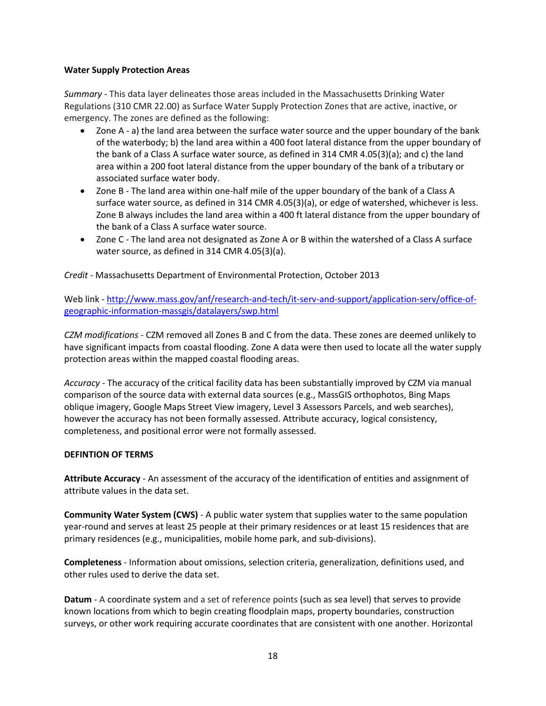#### **Water Supply Protection Areas**

*Summary* - This data layer delineates those areas included in the Massachusetts Drinking Water Regulations (310 CMR 22.00) as Surface Water Supply Protection Zones that are active, inactive, or emergency. The zones are defined as the following:

- Zone A a) the land area between the surface water source and the upper boundary of the bank of the waterbody; b) the land area within a 400 foot lateral distance from the upper boundary of the bank of a Class A surface water source, as defined in 314 CMR 4.05(3)(a); and c) the land area within a 200 foot lateral distance from the upper boundary of the bank of a tributary or associated surface water body.
- Zone B The land area within one-half mile of the upper boundary of the bank of a Class A surface water source, as defined in 314 CMR 4.05(3)(a), or edge of watershed, whichever is less. Zone B always includes the land area within a 400 ft lateral distance from the upper boundary of the bank of a Class A surface water source.
- Zone C The land area not designated as Zone A or B within the watershed of a Class A surface water source, as defined in 314 CMR 4.05(3)(a).

*Credit* - Massachusetts Department of Environmental Protection, October 2013

Web link - [http://www.mass.gov/anf/research-and-tech/it-serv-and-support/application-serv/office-of](http://www.mass.gov/anf/research-and-tech/it-serv-and-support/application-serv/office-of-geographic-information-massgis/datalayers/swp.html)[geographic-information-massgis/datalayers/swp.html](http://www.mass.gov/anf/research-and-tech/it-serv-and-support/application-serv/office-of-geographic-information-massgis/datalayers/swp.html)

*CZM modifications* - CZM removed all Zones B and C from the data. These zones are deemed unlikely to have significant impacts from coastal flooding. Zone A data were then used to locate all the water supply protection areas within the mapped coastal flooding areas.

*Accuracy* - The accuracy of the critical facility data has been substantially improved by CZM via manual comparison of the source data with external data sources (e.g., MassGIS orthophotos, Bing Maps oblique imagery, Google Maps Street View imagery, Level 3 Assessors Parcels, and web searches), however the accuracy has not been formally assessed. Attribute accuracy, logical consistency, completeness, and positional error were not formally assessed.

## **DEFINTION OF TERMS**

**Attribute Accuracy** - An assessment of the accuracy of the identification of entities and assignment of attribute values in the data set.

**Community Water System (CWS)** - A public water system that supplies water to the same population year-round and serves at least 25 people at their primary residences or at least 15 residences that are primary residences (e.g., municipalities, mobile home park, and sub-divisions).

**Completeness** - Information about omissions, selection criteria, generalization, definitions used, and other rules used to derive the data set.

**Datum** - A coordinate system and a set of reference points (such as sea level) that serves to provide known locations from which to begin creating floodplain maps, property boundaries, construction surveys, or other work requiring accurate coordinates that are consistent with one another. Horizontal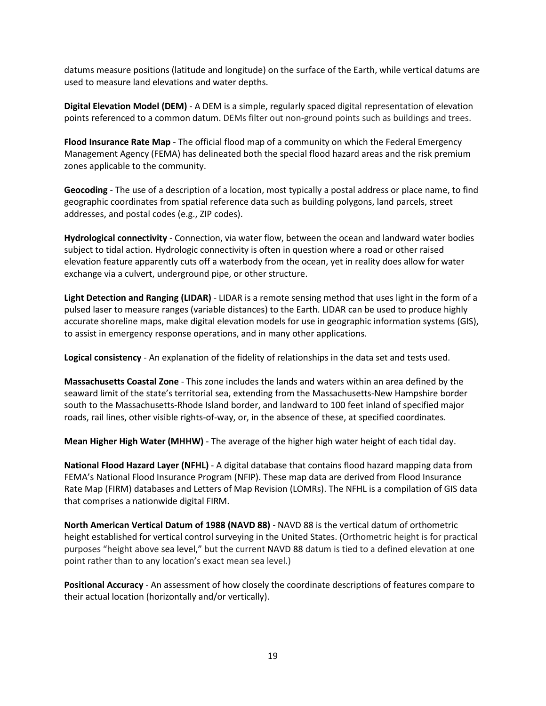datums measure positions (latitude and longitude) on the surface of the Earth, while vertical datums are used to measure land elevations and water depths.

**Digital Elevation Model (DEM)** - A DEM is a simple, regularly spaced digital representation of elevation points referenced to a common datum. DEMs filter out non-ground points such as buildings and trees.

**Flood Insurance Rate Map** - The official flood map of a community on which the Federal Emergency Management Agency (FEMA) has delineated both the special flood hazard areas and the risk premium zones applicable to the community.

**Geocoding** - The use of a description of a location, most typically a postal address or place name, to find geographic coordinates from spatial reference data such as building polygons, land parcels, street addresses, and postal codes (e.g., ZIP codes).

**Hydrological connectivity** - Connection, via water flow, between the ocean and landward water bodies subject to tidal action. Hydrologic connectivity is often in question where a road or other raised elevation feature apparently cuts off a waterbody from the ocean, yet in reality does allow for water exchange via a culvert, underground pipe, or other structure.

**Light Detection and Ranging (LIDAR)** - LIDAR is a [remote sensing](http://oceanservice.noaa.gov/facts/remotesensing.html) method that uses light in the form of a pulsed laser to measure ranges (variable distances) to the Earth. LIDAR can be used to produce highly accurate shoreline maps, make digital elevation models for use in geographic information systems (GIS), to assist in emergency response operations, and in many other applications.

**Logical consistency** - An explanation of the fidelity of relationships in the data set and tests used.

**Massachusetts Coastal Zone** - This zone includes the lands and waters within an area defined by the seaward limit of the state's territorial sea, extending from the Massachusetts-New Hampshire border south to the Massachusetts-Rhode Island border, and landward to 100 feet inland of specified major roads, rail lines, other visible rights-of-way, or, in the absence of these, at specified coordinates.

**Mean Higher High Water (MHHW)** - The average of the higher high water height of each tidal day.

**National Flood Hazard Layer (NFHL)** - A digital database that contains flood hazard mapping data from FEMA's National Flood Insurance Program (NFIP). These map data are derived from Flood Insurance Rate Map (FIRM) databases and Letters of Map Revision (LOMRs). The NFHL is a compilation of GIS data that comprises a nationwide digital FIRM.

**North American Vertical Datum of 1988 (NAVD 88)** - NAVD 88 is the vertical datum of orthometric height established for vertical control surveying in the United States. (Orthometric height is for practical purposes "height above sea level," but the current NAVD 88 datum is tied to a defined elevation at one point rather than to any location's exact mean sea level.)

**Positional Accuracy** - An assessment of how closely the coordinate descriptions of features compare to their actual location (horizontally and/or vertically).